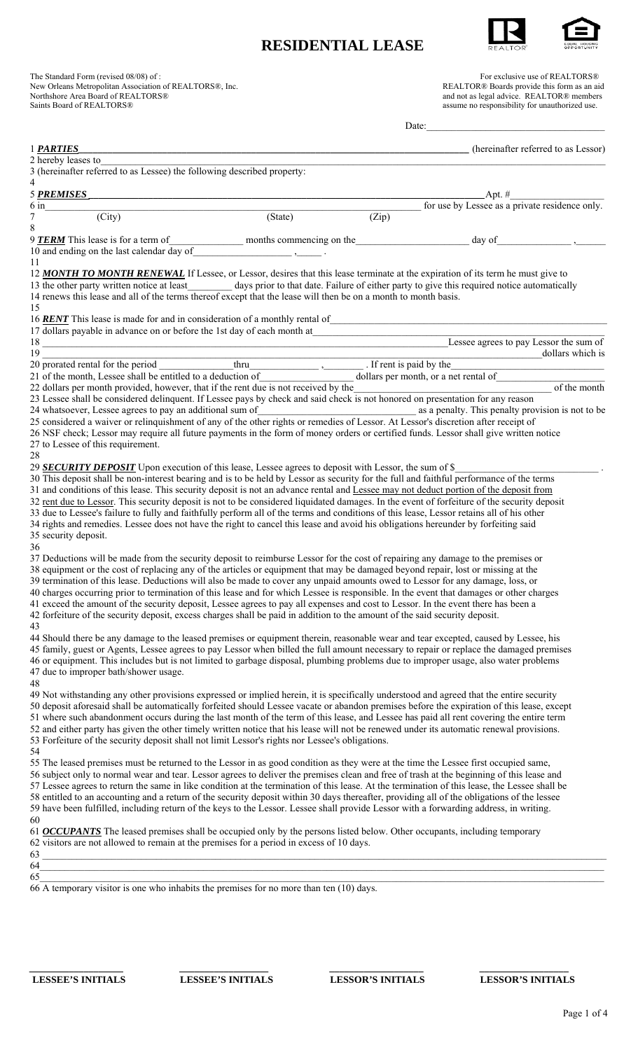## **RESIDENTIAL LEASE**



| Saints Board of REALTORS®                                                                                                                                                                                                                                                                                                                                                                                                                                                                                                                                                                                                                                                                                                                                                                                                                                                                                                                                                                                                                                                                                                                                                                                                                                                                                  | New Orleans Metropolitan Association of REALTORS®, Inc. |       | REALTOR® Boards provide this form as an aid<br>and not as legal advice. REALTOR® members<br>assume no responsibility for unauthorized use. |
|------------------------------------------------------------------------------------------------------------------------------------------------------------------------------------------------------------------------------------------------------------------------------------------------------------------------------------------------------------------------------------------------------------------------------------------------------------------------------------------------------------------------------------------------------------------------------------------------------------------------------------------------------------------------------------------------------------------------------------------------------------------------------------------------------------------------------------------------------------------------------------------------------------------------------------------------------------------------------------------------------------------------------------------------------------------------------------------------------------------------------------------------------------------------------------------------------------------------------------------------------------------------------------------------------------|---------------------------------------------------------|-------|--------------------------------------------------------------------------------------------------------------------------------------------|
|                                                                                                                                                                                                                                                                                                                                                                                                                                                                                                                                                                                                                                                                                                                                                                                                                                                                                                                                                                                                                                                                                                                                                                                                                                                                                                            |                                                         | Date: |                                                                                                                                            |
| 1 <b>PARTIES</b>                                                                                                                                                                                                                                                                                                                                                                                                                                                                                                                                                                                                                                                                                                                                                                                                                                                                                                                                                                                                                                                                                                                                                                                                                                                                                           |                                                         |       | (hereinafter referred to as Lessor)                                                                                                        |
|                                                                                                                                                                                                                                                                                                                                                                                                                                                                                                                                                                                                                                                                                                                                                                                                                                                                                                                                                                                                                                                                                                                                                                                                                                                                                                            |                                                         |       |                                                                                                                                            |
| 3 (hereinafter referred to as Lessee) the following described property:                                                                                                                                                                                                                                                                                                                                                                                                                                                                                                                                                                                                                                                                                                                                                                                                                                                                                                                                                                                                                                                                                                                                                                                                                                    |                                                         |       |                                                                                                                                            |
| 4<br>5 PREMISES                                                                                                                                                                                                                                                                                                                                                                                                                                                                                                                                                                                                                                                                                                                                                                                                                                                                                                                                                                                                                                                                                                                                                                                                                                                                                            |                                                         |       |                                                                                                                                            |
| <u> 1989 - Johann John Stein, mars an deus Amerikaanse kommunister († 1958)</u><br>$6 \text{ in}$                                                                                                                                                                                                                                                                                                                                                                                                                                                                                                                                                                                                                                                                                                                                                                                                                                                                                                                                                                                                                                                                                                                                                                                                          |                                                         |       | $\frac{\text{Apt. }\#}{\text{for use by Lesse as a private residence only.}}$                                                              |
| $\frac{1}{(City)}$<br>$\tau$                                                                                                                                                                                                                                                                                                                                                                                                                                                                                                                                                                                                                                                                                                                                                                                                                                                                                                                                                                                                                                                                                                                                                                                                                                                                               | $\overline{\text{(State)}}$                             | (Zip) |                                                                                                                                            |
| 8                                                                                                                                                                                                                                                                                                                                                                                                                                                                                                                                                                                                                                                                                                                                                                                                                                                                                                                                                                                                                                                                                                                                                                                                                                                                                                          |                                                         |       |                                                                                                                                            |
| 9 <b>TERM</b> This lease is for a term of months commencing on the $\frac{1}{2}$ day of $\frac{1}{2}$                                                                                                                                                                                                                                                                                                                                                                                                                                                                                                                                                                                                                                                                                                                                                                                                                                                                                                                                                                                                                                                                                                                                                                                                      |                                                         |       |                                                                                                                                            |
| 10 and ending on the last calendar $\overline{day}$ of $\overline{\phantom{xxx}}$ .<br>11                                                                                                                                                                                                                                                                                                                                                                                                                                                                                                                                                                                                                                                                                                                                                                                                                                                                                                                                                                                                                                                                                                                                                                                                                  |                                                         |       |                                                                                                                                            |
| 12 MONTH TO MONTH RENEWAL If Lessee, or Lessor, desires that this lease terminate at the expiration of its term he must give to                                                                                                                                                                                                                                                                                                                                                                                                                                                                                                                                                                                                                                                                                                                                                                                                                                                                                                                                                                                                                                                                                                                                                                            |                                                         |       |                                                                                                                                            |
| 13 the other party written notice at least__________ days prior to that date. Failure of either party to give this required notice automatically                                                                                                                                                                                                                                                                                                                                                                                                                                                                                                                                                                                                                                                                                                                                                                                                                                                                                                                                                                                                                                                                                                                                                           |                                                         |       |                                                                                                                                            |
| 14 renews this lease and all of the terms thereof except that the lease will then be on a month to month basis.                                                                                                                                                                                                                                                                                                                                                                                                                                                                                                                                                                                                                                                                                                                                                                                                                                                                                                                                                                                                                                                                                                                                                                                            |                                                         |       |                                                                                                                                            |
| 15                                                                                                                                                                                                                                                                                                                                                                                                                                                                                                                                                                                                                                                                                                                                                                                                                                                                                                                                                                                                                                                                                                                                                                                                                                                                                                         |                                                         |       |                                                                                                                                            |
| 16 <b>RENT</b> This lease is made for and in consideration of a monthly rental of                                                                                                                                                                                                                                                                                                                                                                                                                                                                                                                                                                                                                                                                                                                                                                                                                                                                                                                                                                                                                                                                                                                                                                                                                          |                                                         |       |                                                                                                                                            |
| 17 dollars payable in advance on or before the 1st day of each month at <u>Lessee agrees</u> to pay Lessor the sum of                                                                                                                                                                                                                                                                                                                                                                                                                                                                                                                                                                                                                                                                                                                                                                                                                                                                                                                                                                                                                                                                                                                                                                                      |                                                         |       |                                                                                                                                            |
| 19                                                                                                                                                                                                                                                                                                                                                                                                                                                                                                                                                                                                                                                                                                                                                                                                                                                                                                                                                                                                                                                                                                                                                                                                                                                                                                         |                                                         |       | dollars which is                                                                                                                           |
|                                                                                                                                                                                                                                                                                                                                                                                                                                                                                                                                                                                                                                                                                                                                                                                                                                                                                                                                                                                                                                                                                                                                                                                                                                                                                                            |                                                         |       |                                                                                                                                            |
| 21 of the month, Lessee shall be entitled to a deduction of                                                                                                                                                                                                                                                                                                                                                                                                                                                                                                                                                                                                                                                                                                                                                                                                                                                                                                                                                                                                                                                                                                                                                                                                                                                |                                                         |       | dollars per month, or a net rental of                                                                                                      |
| 22 dollars per month provided, however, that if the rent due is not received by the<br>22 dollars per month provided, however, that if the rent due is not received by the<br>23 Lessee shall be considered delinquent. If Lessee pays by check and said check is not honored on presentation for any reason                                                                                                                                                                                                                                                                                                                                                                                                                                                                                                                                                                                                                                                                                                                                                                                                                                                                                                                                                                                               |                                                         |       | of the month                                                                                                                               |
| 24 whatsoever, Lessee agrees to pay an additional sum of                                                                                                                                                                                                                                                                                                                                                                                                                                                                                                                                                                                                                                                                                                                                                                                                                                                                                                                                                                                                                                                                                                                                                                                                                                                   |                                                         |       | as a penalty. This penalty provision is not to be                                                                                          |
| 25 considered a waiver or relinquishment of any of the other rights or remedies of Lessor. At Lessor's discretion after receipt of                                                                                                                                                                                                                                                                                                                                                                                                                                                                                                                                                                                                                                                                                                                                                                                                                                                                                                                                                                                                                                                                                                                                                                         |                                                         |       |                                                                                                                                            |
|                                                                                                                                                                                                                                                                                                                                                                                                                                                                                                                                                                                                                                                                                                                                                                                                                                                                                                                                                                                                                                                                                                                                                                                                                                                                                                            |                                                         |       |                                                                                                                                            |
|                                                                                                                                                                                                                                                                                                                                                                                                                                                                                                                                                                                                                                                                                                                                                                                                                                                                                                                                                                                                                                                                                                                                                                                                                                                                                                            |                                                         |       |                                                                                                                                            |
|                                                                                                                                                                                                                                                                                                                                                                                                                                                                                                                                                                                                                                                                                                                                                                                                                                                                                                                                                                                                                                                                                                                                                                                                                                                                                                            |                                                         |       |                                                                                                                                            |
| 26 NSF check; Lessor may require all future payments in the form of money orders or certified funds. Lessor shall give written notice<br>27 to Lessee of this requirement.<br>28                                                                                                                                                                                                                                                                                                                                                                                                                                                                                                                                                                                                                                                                                                                                                                                                                                                                                                                                                                                                                                                                                                                           |                                                         |       |                                                                                                                                            |
| 29 <b>SECURITY DEPOSIT</b> Upon execution of this lease, Lessee agrees to deposit with Lessor, the sum of \$                                                                                                                                                                                                                                                                                                                                                                                                                                                                                                                                                                                                                                                                                                                                                                                                                                                                                                                                                                                                                                                                                                                                                                                               |                                                         |       |                                                                                                                                            |
| 30 This deposit shall be non-interest bearing and is to be held by Lessor as security for the full and faithful performance of the terms                                                                                                                                                                                                                                                                                                                                                                                                                                                                                                                                                                                                                                                                                                                                                                                                                                                                                                                                                                                                                                                                                                                                                                   |                                                         |       |                                                                                                                                            |
| 31 and conditions of this lease. This security deposit is not an advance rental and Lessee may not deduct portion of the deposit from                                                                                                                                                                                                                                                                                                                                                                                                                                                                                                                                                                                                                                                                                                                                                                                                                                                                                                                                                                                                                                                                                                                                                                      |                                                         |       |                                                                                                                                            |
| 32 rent due to Lessor. This security deposit is not to be considered liquidated damages. In the event of forfeiture of the security deposit<br>33 due to Lessee's failure to fully and faithfully perform all of the terms and conditions of this lease, Lessor retains all of his other                                                                                                                                                                                                                                                                                                                                                                                                                                                                                                                                                                                                                                                                                                                                                                                                                                                                                                                                                                                                                   |                                                         |       |                                                                                                                                            |
| 34 rights and remedies. Lessee does not have the right to cancel this lease and avoid his obligations hereunder by forfeiting said                                                                                                                                                                                                                                                                                                                                                                                                                                                                                                                                                                                                                                                                                                                                                                                                                                                                                                                                                                                                                                                                                                                                                                         |                                                         |       |                                                                                                                                            |
| 35 security deposit.                                                                                                                                                                                                                                                                                                                                                                                                                                                                                                                                                                                                                                                                                                                                                                                                                                                                                                                                                                                                                                                                                                                                                                                                                                                                                       |                                                         |       |                                                                                                                                            |
|                                                                                                                                                                                                                                                                                                                                                                                                                                                                                                                                                                                                                                                                                                                                                                                                                                                                                                                                                                                                                                                                                                                                                                                                                                                                                                            |                                                         |       |                                                                                                                                            |
|                                                                                                                                                                                                                                                                                                                                                                                                                                                                                                                                                                                                                                                                                                                                                                                                                                                                                                                                                                                                                                                                                                                                                                                                                                                                                                            |                                                         |       |                                                                                                                                            |
| 36<br>37 Deductions will be made from the security deposit to reimburse Lessor for the cost of repairing any damage to the premises or<br>38 equipment or the cost of replacing any of the articles or equipment that may be damaged beyond repair, lost or missing at the                                                                                                                                                                                                                                                                                                                                                                                                                                                                                                                                                                                                                                                                                                                                                                                                                                                                                                                                                                                                                                 |                                                         |       |                                                                                                                                            |
| 39 termination of this lease. Deductions will also be made to cover any unpaid amounts owed to Lessor for any damage, loss, or<br>40 charges occurring prior to termination of this lease and for which Lessee is responsible. In the event that damages or other charges                                                                                                                                                                                                                                                                                                                                                                                                                                                                                                                                                                                                                                                                                                                                                                                                                                                                                                                                                                                                                                  |                                                         |       |                                                                                                                                            |
| 41 exceed the amount of the security deposit, Lessee agrees to pay all expenses and cost to Lessor. In the event there has been a                                                                                                                                                                                                                                                                                                                                                                                                                                                                                                                                                                                                                                                                                                                                                                                                                                                                                                                                                                                                                                                                                                                                                                          |                                                         |       |                                                                                                                                            |
|                                                                                                                                                                                                                                                                                                                                                                                                                                                                                                                                                                                                                                                                                                                                                                                                                                                                                                                                                                                                                                                                                                                                                                                                                                                                                                            |                                                         |       |                                                                                                                                            |
| 42 forfeiture of the security deposit, excess charges shall be paid in addition to the amount of the said security deposit.<br>43                                                                                                                                                                                                                                                                                                                                                                                                                                                                                                                                                                                                                                                                                                                                                                                                                                                                                                                                                                                                                                                                                                                                                                          |                                                         |       |                                                                                                                                            |
| 44 Should there be any damage to the leased premises or equipment therein, reasonable wear and tear excepted, caused by Lessee, his                                                                                                                                                                                                                                                                                                                                                                                                                                                                                                                                                                                                                                                                                                                                                                                                                                                                                                                                                                                                                                                                                                                                                                        |                                                         |       |                                                                                                                                            |
|                                                                                                                                                                                                                                                                                                                                                                                                                                                                                                                                                                                                                                                                                                                                                                                                                                                                                                                                                                                                                                                                                                                                                                                                                                                                                                            |                                                         |       |                                                                                                                                            |
|                                                                                                                                                                                                                                                                                                                                                                                                                                                                                                                                                                                                                                                                                                                                                                                                                                                                                                                                                                                                                                                                                                                                                                                                                                                                                                            |                                                         |       |                                                                                                                                            |
|                                                                                                                                                                                                                                                                                                                                                                                                                                                                                                                                                                                                                                                                                                                                                                                                                                                                                                                                                                                                                                                                                                                                                                                                                                                                                                            |                                                         |       |                                                                                                                                            |
|                                                                                                                                                                                                                                                                                                                                                                                                                                                                                                                                                                                                                                                                                                                                                                                                                                                                                                                                                                                                                                                                                                                                                                                                                                                                                                            |                                                         |       |                                                                                                                                            |
|                                                                                                                                                                                                                                                                                                                                                                                                                                                                                                                                                                                                                                                                                                                                                                                                                                                                                                                                                                                                                                                                                                                                                                                                                                                                                                            |                                                         |       |                                                                                                                                            |
|                                                                                                                                                                                                                                                                                                                                                                                                                                                                                                                                                                                                                                                                                                                                                                                                                                                                                                                                                                                                                                                                                                                                                                                                                                                                                                            |                                                         |       |                                                                                                                                            |
|                                                                                                                                                                                                                                                                                                                                                                                                                                                                                                                                                                                                                                                                                                                                                                                                                                                                                                                                                                                                                                                                                                                                                                                                                                                                                                            |                                                         |       |                                                                                                                                            |
|                                                                                                                                                                                                                                                                                                                                                                                                                                                                                                                                                                                                                                                                                                                                                                                                                                                                                                                                                                                                                                                                                                                                                                                                                                                                                                            |                                                         |       |                                                                                                                                            |
|                                                                                                                                                                                                                                                                                                                                                                                                                                                                                                                                                                                                                                                                                                                                                                                                                                                                                                                                                                                                                                                                                                                                                                                                                                                                                                            |                                                         |       |                                                                                                                                            |
| 45 family, guest or Agents, Lessee agrees to pay Lessor when billed the full amount necessary to repair or replace the damaged premises<br>46 or equipment. This includes but is not limited to garbage disposal, plumbing problems due to improper usage, also water problems<br>47 due to improper bath/shower usage.<br>48<br>49 Not withstanding any other provisions expressed or implied herein, it is specifically understood and agreed that the entire security<br>50 deposit aforesaid shall be automatically forfeited should Lessee vacate or abandon premises before the expiration of this lease, except<br>51 where such abandonment occurs during the last month of the term of this lease, and Lessee has paid all rent covering the entire term<br>52 and either party has given the other timely written notice that his lease will not be renewed under its automatic renewal provisions.<br>53 Forfeiture of the security deposit shall not limit Lessor's rights nor Lessee's obligations.<br>54<br>55 The leased premises must be returned to the Lessor in as good condition as they were at the time the Lessee first occupied same,<br>56 subject only to normal wear and tear. Lessor agrees to deliver the premises clean and free of trash at the beginning of this lease and |                                                         |       |                                                                                                                                            |
| 57 Lessee agrees to return the same in like condition at the termination of this lease. At the termination of this lease, the Lessee shall be                                                                                                                                                                                                                                                                                                                                                                                                                                                                                                                                                                                                                                                                                                                                                                                                                                                                                                                                                                                                                                                                                                                                                              |                                                         |       |                                                                                                                                            |
|                                                                                                                                                                                                                                                                                                                                                                                                                                                                                                                                                                                                                                                                                                                                                                                                                                                                                                                                                                                                                                                                                                                                                                                                                                                                                                            |                                                         |       |                                                                                                                                            |
| 58 entitled to an accounting and a return of the security deposit within 30 days thereafter, providing all of the obligations of the lessee<br>59 have been fulfilled, including return of the keys to the Lessor. Lessee shall provide Lessor with a forwarding address, in writing.<br>60                                                                                                                                                                                                                                                                                                                                                                                                                                                                                                                                                                                                                                                                                                                                                                                                                                                                                                                                                                                                                |                                                         |       |                                                                                                                                            |
|                                                                                                                                                                                                                                                                                                                                                                                                                                                                                                                                                                                                                                                                                                                                                                                                                                                                                                                                                                                                                                                                                                                                                                                                                                                                                                            |                                                         |       |                                                                                                                                            |
| 61 OCCUPANTS The leased premises shall be occupied only by the persons listed below. Other occupants, including temporary<br>62 visitors are not allowed to remain at the premises for a period in excess of 10 days.                                                                                                                                                                                                                                                                                                                                                                                                                                                                                                                                                                                                                                                                                                                                                                                                                                                                                                                                                                                                                                                                                      |                                                         |       |                                                                                                                                            |
|                                                                                                                                                                                                                                                                                                                                                                                                                                                                                                                                                                                                                                                                                                                                                                                                                                                                                                                                                                                                                                                                                                                                                                                                                                                                                                            |                                                         |       |                                                                                                                                            |
| 63<br>64<br><u> 1980 - Jan Sterling von de Sterling von de Sterling von de Sterling von de Sterling von de Sterling von de S</u><br>65                                                                                                                                                                                                                                                                                                                                                                                                                                                                                                                                                                                                                                                                                                                                                                                                                                                                                                                                                                                                                                                                                                                                                                     |                                                         |       |                                                                                                                                            |

*\_\_\_\_\_\_\_\_\_\_\_\_\_\_\_\_\_\_\_ \_\_\_\_\_\_\_\_\_\_\_\_\_\_\_\_\_\_ \_\_\_\_\_\_\_\_\_\_\_\_\_\_\_\_\_\_\_ \_\_\_\_\_\_\_\_\_\_\_\_\_\_\_\_\_\_* 

**LESSEE'S INITIALS LESSEE'S INITIALS LESSOR'S INITIALS LESSOR'S INITIALS**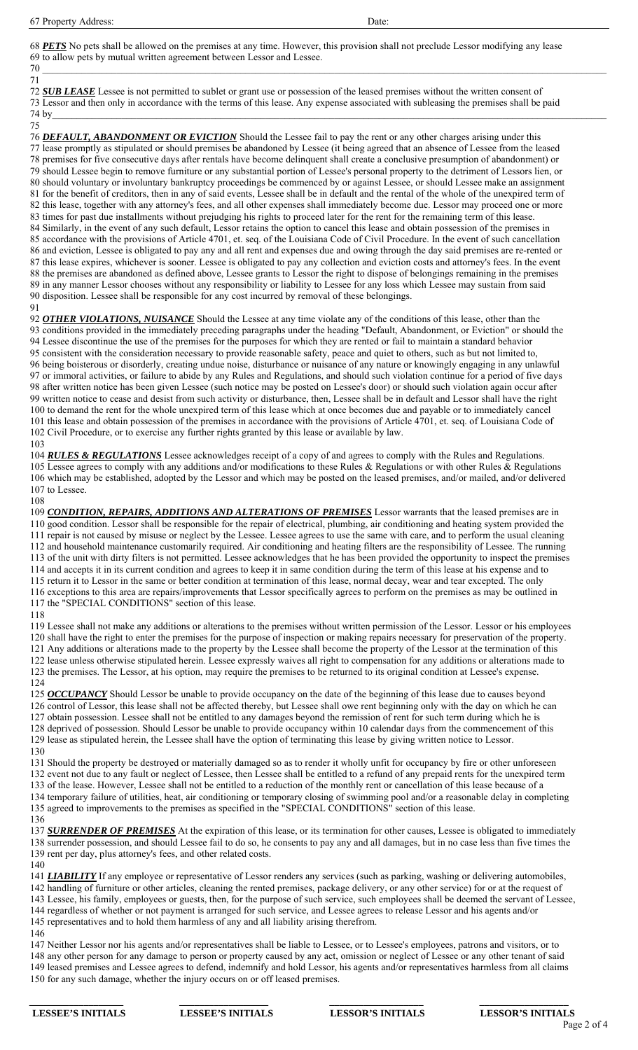67 Property Address: Date:

68 *PETS* No pets shall be allowed on the premises at any time. However, this provision shall not preclude Lessor modifying any lease 69 to allow pets by mutual written agreement between Lessor and Lessee. 70 \_\_\_\_\_\_\_\_\_\_\_\_\_\_\_\_\_\_\_\_\_\_\_\_\_\_\_\_\_\_\_\_\_\_\_\_\_\_\_\_\_\_\_\_\_\_\_\_\_\_\_\_\_\_\_\_\_\_\_\_\_\_\_\_\_\_\_\_\_\_\_\_\_\_\_\_\_\_\_\_\_\_\_\_\_\_\_\_\_\_\_\_\_\_\_\_\_\_\_\_\_\_\_\_\_\_\_\_\_\_\_\_\_\_

71

72 *SUB LEASE* Lessee is not permitted to sublet or grant use or possession of the leased premises without the written consent of 73 Lessor and then only in accordance with the terms of this lease. Any expense associated with subleasing the premises shall be paid 74 by  $74 \text{ by }$ 

75

76 *DEFAULT, ABANDONMENT OR EVICTION* Should the Lessee fail to pay the rent or any other charges arising under this 77 lease promptly as stipulated or should premises be abandoned by Lessee (it being agreed that an absence of Lessee from the leased 78 premises for five consecutive days after rentals have become delinquent shall create a conclusive presumption of abandonment) or 79 should Lessee begin to remove furniture or any substantial portion of Lessee's personal property to the detriment of Lessors lien, or 80 should voluntary or involuntary bankruptcy proceedings be commenced by or against Lessee, or should Lessee make an assignment 81 for the benefit of creditors, then in any of said events, Lessee shall be in default and the rental of the whole of the unexpired term of 82 this lease, together with any attorney's fees, and all other expenses shall immediately become due. Lessor may proceed one or more 83 times for past due installments without prejudging his rights to proceed later for the rent for the remaining term of this lease. 84 Similarly, in the event of any such default, Lessor retains the option to cancel this lease and obtain possession of the premises in 85 accordance with the provisions of Article 4701, et. seq. of the Louisiana Code of Civil Procedure. In the event of such cancellation 86 and eviction, Lessee is obligated to pay any and all rent and expenses due and owing through the day said premises are re-rented or 87 this lease expires, whichever is sooner. Lessee is obligated to pay any collection and eviction costs and attorney's fees. In the event 88 the premises are abandoned as defined above, Lessee grants to Lessor the right to dispose of belongings remaining in the premises 89 in any manner Lessor chooses without any responsibility or liability to Lessee for any loss which Lessee may sustain from said 90 disposition. Lessee shall be responsible for any cost incurred by removal of these belongings. 91

92 *OTHER VIOLATIONS, NUISANCE* Should the Lessee at any time violate any of the conditions of this lease, other than the 93 conditions provided in the immediately preceding paragraphs under the heading "Default, Abandonment, or Eviction" or should the 94 Lessee discontinue the use of the premises for the purposes for which they are rented or fail to maintain a standard behavior 95 consistent with the consideration necessary to provide reasonable safety, peace and quiet to others, such as but not limited to, 96 being boisterous or disorderly, creating undue noise, disturbance or nuisance of any nature or knowingly engaging in any unlawful 97 or immoral activities, or failure to abide by any Rules and Regulations, and should such violation continue for a period of five days 98 after written notice has been given Lessee (such notice may be posted on Lessee's door) or should such violation again occur after 99 written notice to cease and desist from such activity or disturbance, then, Lessee shall be in default and Lessor shall have the right 100 to demand the rent for the whole unexpired term of this lease which at once becomes due and payable or to immediately cancel 101 this lease and obtain possession of the premises in accordance with the provisions of Article 4701, et. seq. of Louisiana Code of 102 Civil Procedure, or to exercise any further rights granted by this lease or available by law. 103

104 *RULES & REGULATIONS* Lessee acknowledges receipt of a copy of and agrees to comply with the Rules and Regulations. 105 Lessee agrees to comply with any additions and/or modifications to these Rules & Regulations or with other Rules & Regulations 106 which may be established, adopted by the Lessor and which may be posted on the leased premises, and/or mailed, and/or delivered 107 to Lessee.

108 109 *CONDITION, REPAIRS, ADDITIONS AND ALTERATIONS OF PREMISES* Lessor warrants that the leased premises are in 110 good condition. Lessor shall be responsible for the repair of electrical, plumbing, air conditioning and heating system provided the 111 repair is not caused by misuse or neglect by the Lessee. Lessee agrees to use the same with care, and to perform the usual cleaning 112 and household maintenance customarily required. Air conditioning and heating filters are the responsibility of Lessee. The running 113 of the unit with dirty filters is not permitted. Lessee acknowledges that he has been provided the opportunity to inspect the premises 114 and accepts it in its current condition and agrees to keep it in same condition during the term of this lease at his expense and to 115 return it to Lessor in the same or better condition at termination of this lease, normal decay, wear and tear excepted. The only 116 exceptions to this area are repairs/improvements that Lessor specifically agrees to perform on the premises as may be outlined in 117 the "SPECIAL CONDITIONS" section of this lease. 118

119 Lessee shall not make any additions or alterations to the premises without written permission of the Lessor. Lessor or his employees 120 shall have the right to enter the premises for the purpose of inspection or making repairs necessary for preservation of the property. 121 Any additions or alterations made to the property by the Lessee shall become the property of the Lessor at the termination of this 122 lease unless otherwise stipulated herein. Lessee expressly waives all right to compensation for any additions or alterations made to 123 the premises. The Lessor, at his option, may require the premises to be returned to its original condition at Lessee's expense. 124

125 *OCCUPANCY* Should Lessor be unable to provide occupancy on the date of the beginning of this lease due to causes beyond 126 control of Lessor, this lease shall not be affected thereby, but Lessee shall owe rent beginning only with the day on which he can 127 obtain possession. Lessee shall not be entitled to any damages beyond the remission of rent for such term during which he is 128 deprived of possession. Should Lessor be unable to provide occupancy within 10 calendar days from the commencement of this 129 lease as stipulated herein, the Lessee shall have the option of terminating this lease by giving written notice to Lessor. 130

131 Should the property be destroyed or materially damaged so as to render it wholly unfit for occupancy by fire or other unforeseen 132 event not due to any fault or neglect of Lessee, then Lessee shall be entitled to a refund of any prepaid rents for the unexpired term 133 of the lease. However, Lessee shall not be entitled to a reduction of the monthly rent or cancellation of this lease because of a 134 temporary failure of utilities, heat, air conditioning or temporary closing of swimming pool and/or a reasonable delay in completing 135 agreed to improvements to the premises as specified in the "SPECIAL CONDITIONS" section of this lease.

136 137 *SURRENDER OF PREMISES* At the expiration of this lease, or its termination for other causes, Lessee is obligated to immediately 138 surrender possession, and should Lessee fail to do so, he consents to pay any and all damages, but in no case less than five times the 139 rent per day, plus attorney's fees, and other related costs.

140

141 **LIABILITY** If any employee or representative of Lessor renders any services (such as parking, washing or delivering automobiles, 142 handling of furniture or other articles, cleaning the rented premises, package delivery, or any other service) for or at the request of 143 Lessee, his family, employees or guests, then, for the purpose of such service, such employees shall be deemed the servant of Lessee, 144 regardless of whether or not payment is arranged for such service, and Lessee agrees to release Lessor and his agents and/or 145 representatives and to hold them harmless of any and all liability arising therefrom.

146

147 Neither Lessor nor his agents and/or representatives shall be liable to Lessee, or to Lessee's employees, patrons and visitors, or to 148 any other person for any damage to person or property caused by any act, omission or neglect of Lessee or any other tenant of said 149 leased premises and Lessee agrees to defend, indemnify and hold Lessor, his agents and/or representatives harmless from all claims 150 for any such damage, whether the injury occurs on or off leased premises.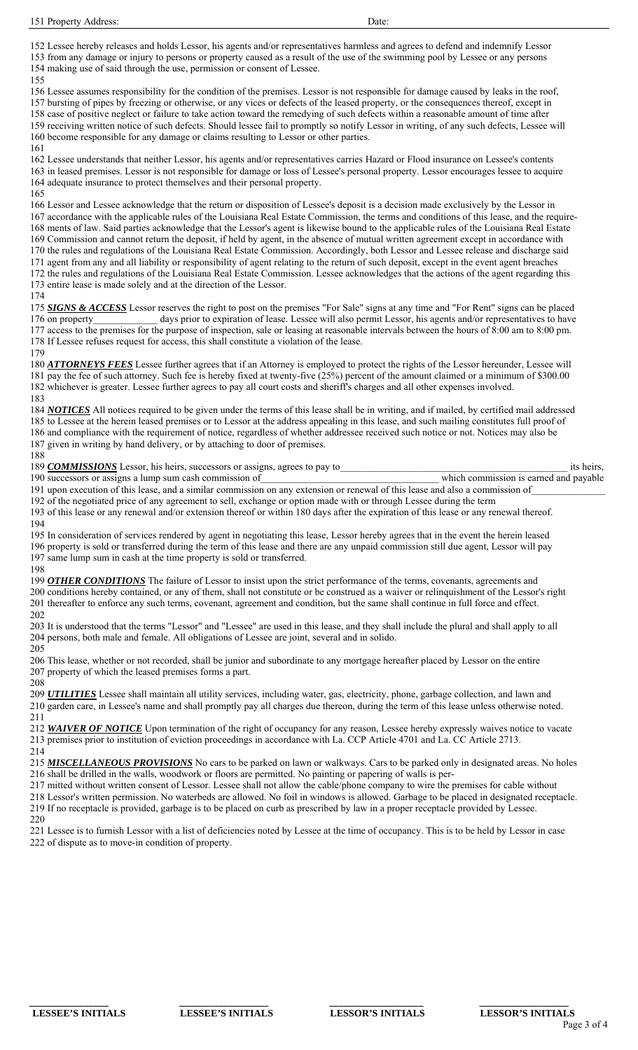152 Lessee hereby releases and holds Lessor, his agents and/or representatives harmless and agrees to defend and indemnify Lessor 153 from any damage or injury to persons or property caused as a result of the use of the swimming pool by Lessee or any persons 154 making use of said through the use, permission or consent of Lessee. 155

156 Lessee assumes responsibility for the condition of the premises. Lessor is not responsible for damage caused by leaks in the roof, 157 bursting of pipes by freezing or otherwise, or any vices or defects of the leased property, or the consequences thereof, except in 158 case of positive neglect or failure to take action toward the remedying of such defects within a reasonable amount of time after 159 receiving written notice of such defects. Should lessee fail to promptly so notify Lessor in writing, of any such defects, Lessee will 160 become responsible for any damage or claims resulting to Lessor or other parties.

161

162 Lessee understands that neither Lessor, his agents and/or representatives carries Hazard or Flood insurance on Lessee's contents 163 in leased premises. Lessor is not responsible for damage or loss of Lessee's personal property. Lessor encourages lessee to acquire 164 adequate insurance to protect themselves and their personal property.

165

166 Lessor and Lessee acknowledge that the return or disposition of Lessee's deposit is a decision made exclusively by the Lessor in 167 accordance with the applicable rules of the Louisiana Real Estate Commission, the terms and conditions of this lease, and the require-168 ments of law. Said parties acknowledge that the Lessor's agent is likewise bound to the applicable rules of the Louisiana Real Estate 169 Commission and cannot return the deposit, if held by agent, in the absence of mutual written agreement except in accordance with 170 the rules and regulations of the Louisiana Real Estate Commission. Accordingly, both Lessor and Lessee release and discharge said 171 agent from any and all liability or responsibility of agent relating to the return of such deposit, except in the event agent breaches 172 the rules and regulations of the Louisiana Real Estate Commission. Lessee acknowledges that the actions of the agent regarding this 173 entire lease is made solely and at the direction of the Lessor.

174

175 *SIGNS & ACCESS* Lessor reserves the right to post on the premises "For Sale" signs at any time and "For Rent" signs can be placed 176 on property days prior to expiration of lease. Lessee will also permit Lessor, his agents and/or representatives to have 177 access to the premises for the purpose of inspection, sale or leasing at reasonable intervals between the hours of 8:00 am to 8:00 pm. 178 If Lessee refuses request for access, this shall constitute a violation of the lease.

179

180 *ATTORNEYS FEES* Lessee further agrees that if an Attorney is employed to protect the rights of the Lessor hereunder, Lessee will 181 pay the fee of such attorney. Such fee is hereby fixed at twenty-five (25%) percent of the amount claimed or a minimum of \$300.00 182 whichever is greater. Lessee further agrees to pay all court costs and sheriff's charges and all other expenses involved. 183

184 *NOTICES* All notices required to be given under the terms of this lease shall be in writing, and if mailed, by certified mail addressed 185 to Lessee at the herein leased premises or to Lessor at the address appealing in this lease, and such mailing constitutes full proof of 186 and compliance with the requirement of notice, regardless of whether addressee received such notice or not. Notices may also be 187 given in writing by hand delivery, or by attaching to door of premises.

188

| 189 COMMISSIONS Lessor, his heirs, successors or assigns, agrees to pay to                                                    | its heirs,                             |  |  |  |  |
|-------------------------------------------------------------------------------------------------------------------------------|----------------------------------------|--|--|--|--|
| 190 successors or assigns a lump sum cash commission of                                                                       | which commission is earned and payable |  |  |  |  |
| 191 upon execution of this lease, and a similar commission on any extension or renewal of this lease and also a commission of |                                        |  |  |  |  |

192 of the negotiated price of any agreement to sell, exchange or option made with or through Lessee during the term 193 of this lease or any renewal and/or extension thereof or within 180 days after the expiration of this lease or any renewal thereof. 194

195 In consideration of services rendered by agent in negotiating this lease, Lessor hereby agrees that in the event the herein leased 196 property is sold or transferred during the term of this lease and there are any unpaid commission still due agent, Lessor will pay 197 same lump sum in cash at the time property is sold or transferred.

198 199 *OTHER CONDITIONS* The failure of Lessor to insist upon the strict performance of the terms, covenants, agreements and 200 conditions hereby contained, or any of them, shall not constitute or be construed as a waiver or relinquishment of the Lessor's right 201 thereafter to enforce any such terms, covenant, agreement and condition, but the same shall continue in full force and effect. 202

203 It is understood that the terms "Lessor" and "Lessee" are used in this lease, and they shall include the plural and shall apply to all 204 persons, both male and female. All obligations of Lessee are joint, several and in solido. 205

206 This lease, whether or not recorded, shall be junior and subordinate to any mortgage hereafter placed by Lessor on the entire 207 property of which the leased premises forms a part.

208 209 *UTILITIES* Lessee shall maintain all utility services, including water, gas, electricity, phone, garbage collection, and lawn and 210 garden care, in Lessee's name and shall promptly pay all charges due thereon, during the term of this lease unless otherwise noted. 211

212 *WAIVER OF NOTICE* Upon termination of the right of occupancy for any reason, Lessee hereby expressly waives notice to vacate 213 premises prior to institution of eviction proceedings in accordance with La. CCP Article 4701 and La. CC Article 2713. 214

215 *MISCELLANEOUS PROVISIONS* No cars to be parked on lawn or walkways. Cars to be parked only in designated areas. No holes 216 shall be drilled in the walls, woodwork or floors are permitted. No painting or papering of walls is per-

217 mitted without written consent of Lessor. Lessee shall not allow the cable/phone company to wire the premises for cable without 218 Lessor's written permission. No waterbeds are allowed. No foil in windows is allowed. Garbage to be placed in designated receptacle.

219 If no receptacle is provided, garbage is to be placed on curb as prescribed by law in a proper receptacle provided by Lessee.

220

221 Lessee is to furnish Lessor with a list of deficiencies noted by Lessee at the time of occupancy. This is to be held by Lessor in case 222 of dispute as to move-in condition of property.